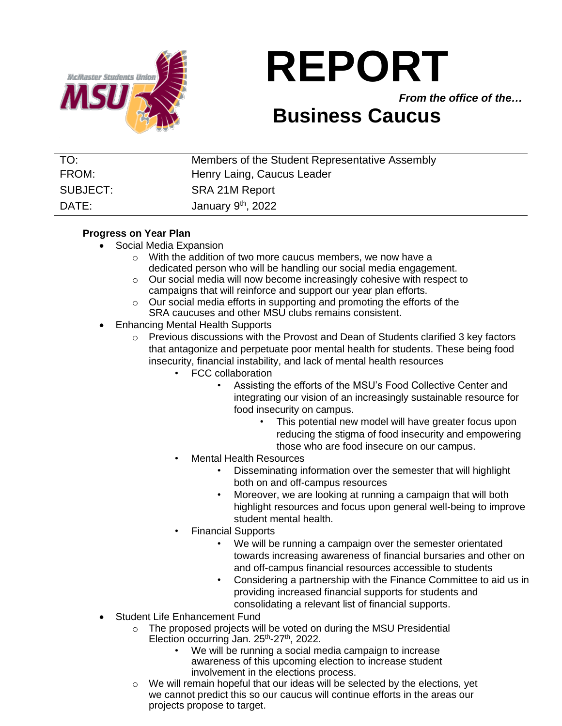

# **REPORT**

*From the office of the…*

## **Business Caucus**

| TO:      | Members of the Student Representative Assembly |
|----------|------------------------------------------------|
| FROM:    | Henry Laing, Caucus Leader                     |
| SUBJECT: | SRA 21M Report                                 |
| DATE:    | January 9 <sup>th</sup> , 2022                 |

#### **Progress on Year Plan**

- Social Media Expansion
	- o With the addition of two more caucus members, we now have a dedicated person who will be handling our social media engagement.
	- o Our social media will now become increasingly cohesive with respect to campaigns that will reinforce and support our year plan efforts.
	- o Our social media efforts in supporting and promoting the efforts of the SRA caucuses and other MSU clubs remains consistent.
- Enhancing Mental Health Supports
	- $\circ$  Previous discussions with the Provost and Dean of Students clarified 3 key factors that antagonize and perpetuate poor mental health for students. These being food insecurity, financial instability, and lack of mental health resources
		- FCC collaboration
			- Assisting the efforts of the MSU's Food Collective Center and integrating our vision of an increasingly sustainable resource for food insecurity on campus.
				- This potential new model will have greater focus upon reducing the stigma of food insecurity and empowering those who are food insecure on our campus.
			- Mental Health Resources
				- Disseminating information over the semester that will highlight both on and off-campus resources
				- Moreover, we are looking at running a campaign that will both highlight resources and focus upon general well-being to improve student mental health.
			- Financial Supports
				- We will be running a campaign over the semester orientated towards increasing awareness of financial bursaries and other on and off-campus financial resources accessible to students
				- Considering a partnership with the Finance Committee to aid us in providing increased financial supports for students and consolidating a relevant list of financial supports.
- Student Life Enhancement Fund
	- o The proposed projects will be voted on during the MSU Presidential Election occurring Jan.  $25^{th}$ - $27^{th}$ , 2022.
		- We will be running a social media campaign to increase awareness of this upcoming election to increase student involvement in the elections process.
	- $\circ$  We will remain hopeful that our ideas will be selected by the elections, yet we cannot predict this so our caucus will continue efforts in the areas our projects propose to target.